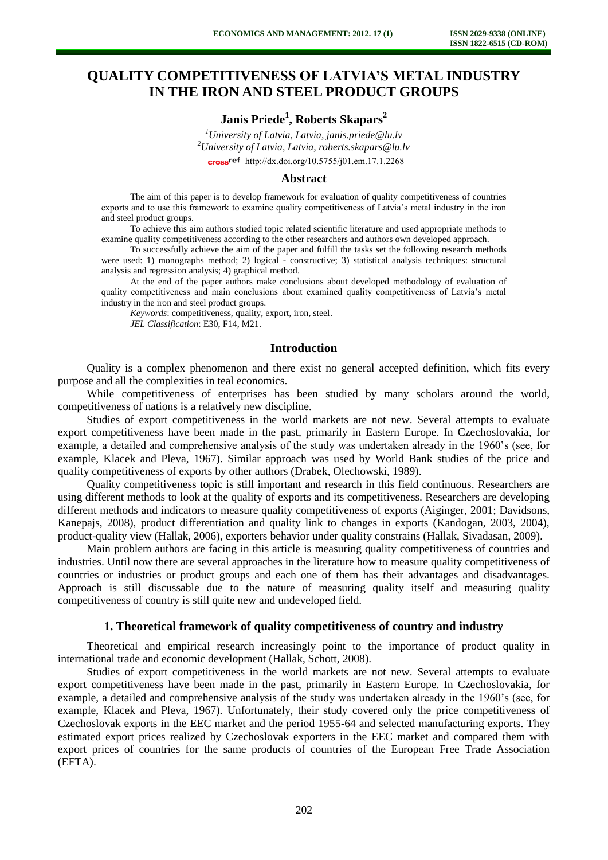# **QUALITY COMPETITIVENESS OF LATVIA'S METAL INDUSTRY IN THE IRON AND STEEL PRODUCT GROUPS**

**Janis Priede<sup>1</sup> , Roberts Skapars<sup>2</sup>**

*<sup>1</sup>University of Latvia, Latvia, janis.priede@lu.lv <sup>2</sup>University of Latvia, Latvia, roberts.skapars@lu.lv*  cross<sup>ref</sup> [http://dx.doi.org/10.5755/j01.e](http://dx.doi.org/10.5755/j01.em.17.1.2268)m.17.1.2268

#### **Abstract**

The aim of this paper is to develop framework for evaluation of quality competitiveness of countries exports and to use this framework to examine quality competitiveness of Latvia's metal industry in the iron and steel product groups.

To achieve this aim authors studied topic related scientific literature and used appropriate methods to examine quality competitiveness according to the other researchers and authors own developed approach.

To successfully achieve the aim of the paper and fulfill the tasks set the following research methods were used: 1) monographs method; 2) logical - constructive; 3) statistical analysis techniques: structural analysis and regression analysis; 4) graphical method.

At the end of the paper authors make conclusions about developed methodology of evaluation of quality competitiveness and main conclusions about examined quality competitiveness of Latvia's metal industry in the iron and steel product groups.

*Keywords*: competitiveness, quality, export, iron, steel.

*JEL Classification*: E30, F14, M21.

# **Introduction**

Quality is a complex phenomenon and there exist no general accepted definition, which fits every purpose and all the complexities in teal economics.

While competitiveness of enterprises has been studied by many scholars around the world, competitiveness of nations is a relatively new discipline.

Studies of export competitiveness in the world markets are not new. Several attempts to evaluate export competitiveness have been made in the past, primarily in Eastern Europe. In Czechoslovakia, for example, a detailed and comprehensive analysis of the study was undertaken already in the 1960's (see, for example, Klacek and Pleva, 1967). Similar approach was used by World Bank studies of the price and quality competitiveness of exports by other authors (Drabek, Olechowski, 1989).

Quality competitiveness topic is still important and research in this field continuous. Researchers are using different methods to look at the quality of exports and its competitiveness. Researchers are developing different methods and indicators to measure quality competitiveness of exports (Aiginger, 2001; Davidsons, Kanepajs, 2008), product differentiation and quality link to changes in exports (Kandogan, 2003, 2004), product-quality view (Hallak, 2006), exporters behavior under quality constrains (Hallak, Sivadasan, 2009).

Main problem authors are facing in this article is measuring quality competitiveness of countries and industries. Until now there are several approaches in the literature how to measure quality competitiveness of countries or industries or product groups and each one of them has their advantages and disadvantages. Approach is still discussable due to the nature of measuring quality itself and measuring quality competitiveness of country is still quite new and undeveloped field.

## **1. Theoretical framework of quality competitiveness of country and industry**

Theoretical and empirical research increasingly point to the importance of product quality in international trade and economic development (Hallak, Schott, 2008).

Studies of export competitiveness in the world markets are not new. Several attempts to evaluate export competitiveness have been made in the past, primarily in Eastern Europe. In Czechoslovakia, for example, a detailed and comprehensive analysis of the study was undertaken already in the 1960's (see, for example, Klacek and Pleva, 1967). Unfortunately, their study covered only the price competitiveness of Czechoslovak exports in the EEC market and the period 1955-64 and selected manufacturing exports. They estimated export prices realized by Czechoslovak exporters in the EEC market and compared them with export prices of countries for the same products of countries of the European Free Trade Association (EFTA).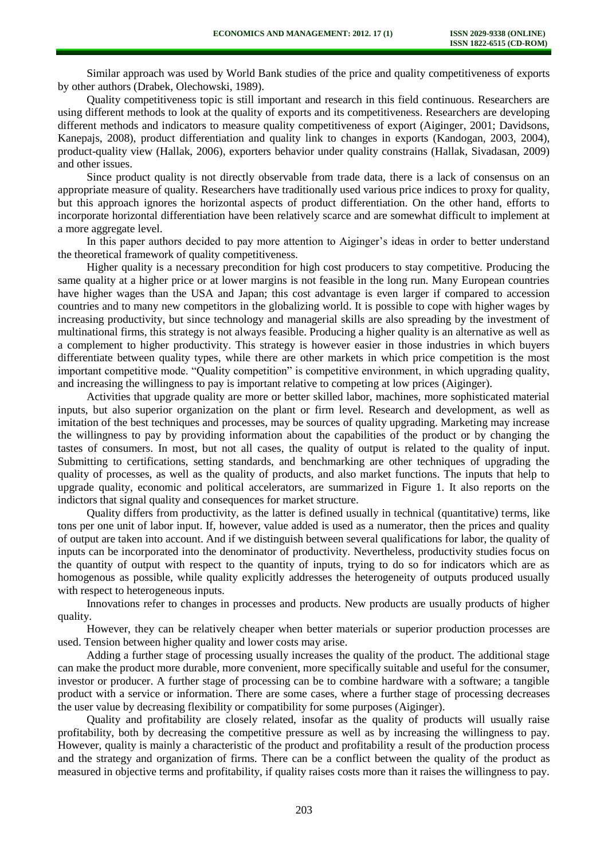Similar approach was used by World Bank studies of the price and quality competitiveness of exports by other authors (Drabek, Olechowski, 1989).

Quality competitiveness topic is still important and research in this field continuous. Researchers are using different methods to look at the quality of exports and its competitiveness. Researchers are developing different methods and indicators to measure quality competitiveness of export (Aiginger, 2001; Davidsons, Kanepajs, 2008), product differentiation and quality link to changes in exports (Kandogan, 2003, 2004), product-quality view (Hallak, 2006), exporters behavior under quality constrains (Hallak, Sivadasan, 2009) and other issues.

Since product quality is not directly observable from trade data, there is a lack of consensus on an appropriate measure of quality. Researchers have traditionally used various price indices to proxy for quality, but this approach ignores the horizontal aspects of product differentiation. On the other hand, efforts to incorporate horizontal differentiation have been relatively scarce and are somewhat difficult to implement at a more aggregate level.

In this paper authors decided to pay more attention to Aiginger's ideas in order to better understand the theoretical framework of quality competitiveness.

Higher quality is a necessary precondition for high cost producers to stay competitive. Producing the same quality at a higher price or at lower margins is not feasible in the long run. Many European countries have higher wages than the USA and Japan; this cost advantage is even larger if compared to accession countries and to many new competitors in the globalizing world. It is possible to cope with higher wages by increasing productivity, but since technology and managerial skills are also spreading by the investment of multinational firms, this strategy is not always feasible. Producing a higher quality is an alternative as well as a complement to higher productivity. This strategy is however easier in those industries in which buyers differentiate between quality types, while there are other markets in which price competition is the most important competitive mode. "Quality competition" is competitive environment, in which upgrading quality, and increasing the willingness to pay is important relative to competing at low prices (Aiginger).

Activities that upgrade quality are more or better skilled labor, machines, more sophisticated material inputs, but also superior organization on the plant or firm level. Research and development, as well as imitation of the best techniques and processes, may be sources of quality upgrading. Marketing may increase the willingness to pay by providing information about the capabilities of the product or by changing the tastes of consumers. In most, but not all cases, the quality of output is related to the quality of input. Submitting to certifications, setting standards, and benchmarking are other techniques of upgrading the quality of processes, as well as the quality of products, and also market functions. The inputs that help to upgrade quality, economic and political accelerators, are summarized in Figure 1. It also reports on the indictors that signal quality and consequences for market structure.

Quality differs from productivity, as the latter is defined usually in technical (quantitative) terms, like tons per one unit of labor input. If, however, value added is used as a numerator, then the prices and quality of output are taken into account. And if we distinguish between several qualifications for labor, the quality of inputs can be incorporated into the denominator of productivity. Nevertheless, productivity studies focus on the quantity of output with respect to the quantity of inputs, trying to do so for indicators which are as homogenous as possible, while quality explicitly addresses the heterogeneity of outputs produced usually with respect to heterogeneous inputs.

Innovations refer to changes in processes and products. New products are usually products of higher quality.

However, they can be relatively cheaper when better materials or superior production processes are used. Tension between higher quality and lower costs may arise.

Adding a further stage of processing usually increases the quality of the product. The additional stage can make the product more durable, more convenient, more specifically suitable and useful for the consumer, investor or producer. A further stage of processing can be to combine hardware with a software; a tangible product with a service or information. There are some cases, where a further stage of processing decreases the user value by decreasing flexibility or compatibility for some purposes (Aiginger).

Quality and profitability are closely related, insofar as the quality of products will usually raise profitability, both by decreasing the competitive pressure as well as by increasing the willingness to pay. However, quality is mainly a characteristic of the product and profitability a result of the production process and the strategy and organization of firms. There can be a conflict between the quality of the product as measured in objective terms and profitability, if quality raises costs more than it raises the willingness to pay.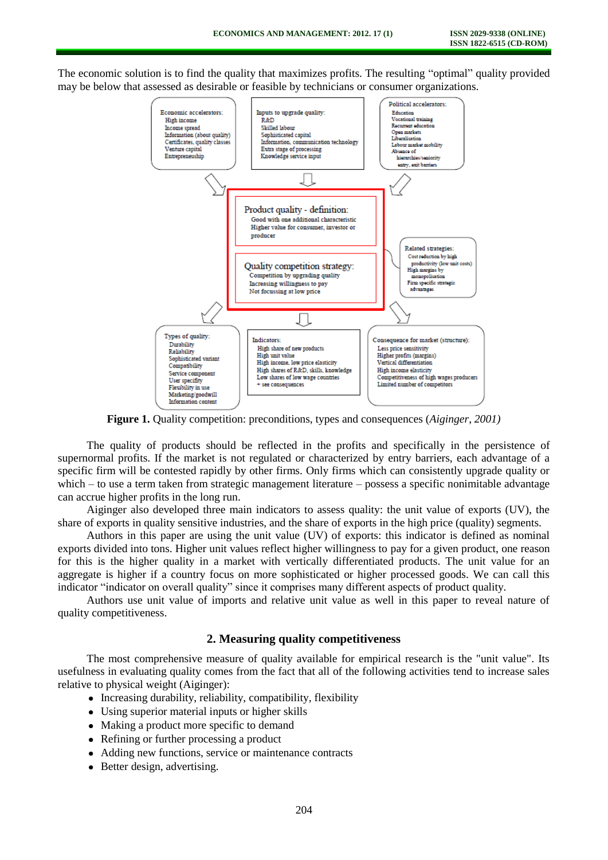The economic solution is to find the quality that maximizes profits. The resulting "optimal" quality provided may be below that assessed as desirable or feasible by technicians or consumer organizations.



**Figure 1.** Quality competition: preconditions, types and consequences (*Aiginger, 2001)*

The quality of products should be reflected in the profits and specifically in the persistence of supernormal profits. If the market is not regulated or characterized by entry barriers, each advantage of a specific firm will be contested rapidly by other firms. Only firms which can consistently upgrade quality or which – to use a term taken from strategic management literature – possess a specific nonimitable advantage can accrue higher profits in the long run.

Aiginger also developed three main indicators to assess quality: the unit value of exports (UV), the share of exports in quality sensitive industries, and the share of exports in the high price (quality) segments.

Authors in this paper are using the unit value (UV) of exports: this indicator is defined as nominal exports divided into tons. Higher unit values reflect higher willingness to pay for a given product, one reason for this is the higher quality in a market with vertically differentiated products. The unit value for an aggregate is higher if a country focus on more sophisticated or higher processed goods. We can call this indicator "indicator on overall quality" since it comprises many different aspects of product quality.

Authors use unit value of imports and relative unit value as well in this paper to reveal nature of quality competitiveness.

#### **2. Measuring quality competitiveness**

The most comprehensive measure of quality available for empirical research is the "unit value". Its usefulness in evaluating quality comes from the fact that all of the following activities tend to increase sales relative to physical weight (Aiginger):

- Increasing durability, reliability, compatibility, flexibility
- Using superior material inputs or higher skills
- Making a product more specific to demand
- Refining or further processing a product
- Adding new functions, service or maintenance contracts
- Better design, advertising.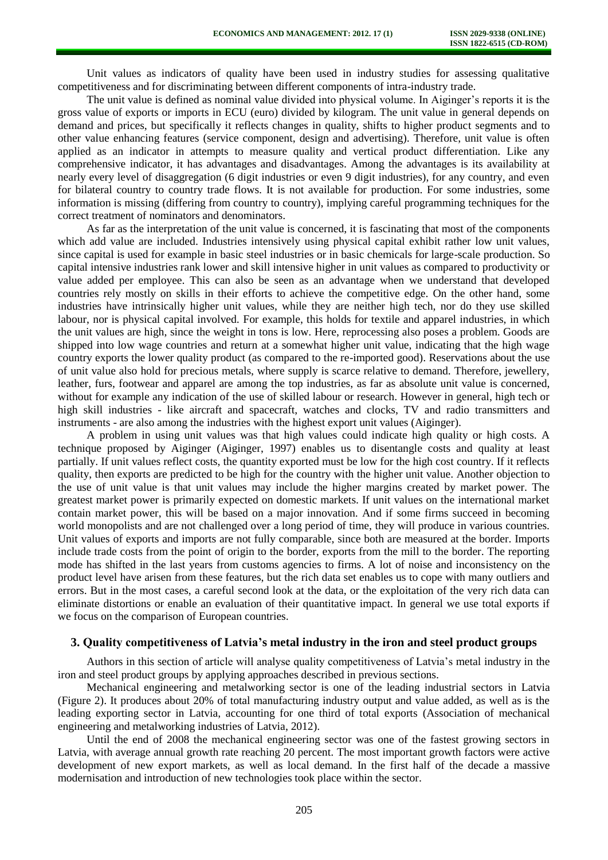Unit values as indicators of quality have been used in industry studies for assessing qualitative competitiveness and for discriminating between different components of intra-industry trade.

The unit value is defined as nominal value divided into physical volume. In Aiginger's reports it is the gross value of exports or imports in ECU (euro) divided by kilogram. The unit value in general depends on demand and prices, but specifically it reflects changes in quality, shifts to higher product segments and to other value enhancing features (service component, design and advertising). Therefore, unit value is often applied as an indicator in attempts to measure quality and vertical product differentiation. Like any comprehensive indicator, it has advantages and disadvantages. Among the advantages is its availability at nearly every level of disaggregation (6 digit industries or even 9 digit industries), for any country, and even for bilateral country to country trade flows. It is not available for production. For some industries, some information is missing (differing from country to country), implying careful programming techniques for the correct treatment of nominators and denominators.

As far as the interpretation of the unit value is concerned, it is fascinating that most of the components which add value are included. Industries intensively using physical capital exhibit rather low unit values, since capital is used for example in basic steel industries or in basic chemicals for large-scale production. So capital intensive industries rank lower and skill intensive higher in unit values as compared to productivity or value added per employee. This can also be seen as an advantage when we understand that developed countries rely mostly on skills in their efforts to achieve the competitive edge. On the other hand, some industries have intrinsically higher unit values, while they are neither high tech, nor do they use skilled labour, nor is physical capital involved. For example, this holds for textile and apparel industries, in which the unit values are high, since the weight in tons is low. Here, reprocessing also poses a problem. Goods are shipped into low wage countries and return at a somewhat higher unit value, indicating that the high wage country exports the lower quality product (as compared to the re-imported good). Reservations about the use of unit value also hold for precious metals, where supply is scarce relative to demand. Therefore, jewellery, leather, furs, footwear and apparel are among the top industries, as far as absolute unit value is concerned, without for example any indication of the use of skilled labour or research. However in general, high tech or high skill industries - like aircraft and spacecraft, watches and clocks. TV and radio transmitters and instruments - are also among the industries with the highest export unit values (Aiginger).

A problem in using unit values was that high values could indicate high quality or high costs. A technique proposed by Aiginger (Aiginger, 1997) enables us to disentangle costs and quality at least partially. If unit values reflect costs, the quantity exported must be low for the high cost country. If it reflects quality, then exports are predicted to be high for the country with the higher unit value. Another objection to the use of unit value is that unit values may include the higher margins created by market power. The greatest market power is primarily expected on domestic markets. If unit values on the international market contain market power, this will be based on a major innovation. And if some firms succeed in becoming world monopolists and are not challenged over a long period of time, they will produce in various countries. Unit values of exports and imports are not fully comparable, since both are measured at the border. Imports include trade costs from the point of origin to the border, exports from the mill to the border. The reporting mode has shifted in the last years from customs agencies to firms. A lot of noise and inconsistency on the product level have arisen from these features, but the rich data set enables us to cope with many outliers and errors. But in the most cases, a careful second look at the data, or the exploitation of the very rich data can eliminate distortions or enable an evaluation of their quantitative impact. In general we use total exports if we focus on the comparison of European countries.

### **3. Quality competitiveness of Latvia's metal industry in the iron and steel product groups**

Authors in this section of article will analyse quality competitiveness of Latvia's metal industry in the iron and steel product groups by applying approaches described in previous sections.

Mechanical engineering and metalworking sector is one of the leading industrial sectors in Latvia (Figure 2). It produces about 20% of total manufacturing industry output and value added, as well as is the leading exporting sector in Latvia, accounting for one third of total exports (Association of mechanical engineering and metalworking industries of Latvia, 2012).

Until the end of 2008 the mechanical engineering sector was one of the fastest growing sectors in Latvia, with average annual growth rate reaching 20 percent. The most important growth factors were active development of new export markets, as well as local demand. In the first half of the decade a massive modernisation and introduction of new technologies took place within the sector.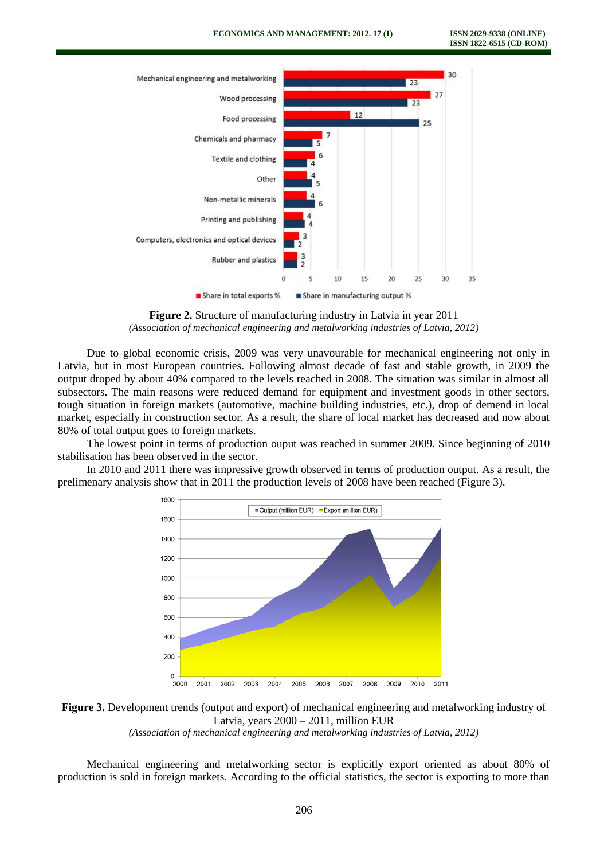

**Figure 2.** Structure of manufacturing industry in Latvia in year 2011 *(Association of mechanical engineering and metalworking industries of Latvia, 2012)*

Due to global economic crisis, 2009 was very unavourable for mechanical engineering not only in Latvia, but in most European countries. Following almost decade of fast and stable growth, in 2009 the output droped by about 40% compared to the levels reached in 2008. The situation was similar in almost all subsectors. The main reasons were reduced demand for equipment and investment goods in other sectors, tough situation in foreign markets (automotive, machine building industries, etc.), drop of demend in local market, especially in construction sector. As a result, the share of local market has decreased and now about 80% of total output goes to foreign markets.

The lowest point in terms of production ouput was reached in summer 2009. Since beginning of 2010 stabilisation has been observed in the sector.

In 2010 and 2011 there was impressive growth observed in terms of production output. As a result, the prelimenary analysis show that in 2011 the production levels of 2008 have been reached (Figure 3).



**Figure 3.** Development trends (output and export) of mechanical engineering and metalworking industry of Latvia, years 2000 – 2011, million EUR

*(Association of mechanical engineering and metalworking industries of Latvia, 2012)* 

Mechanical engineering and metalworking sector is explicitly export oriented as about 80% of production is sold in foreign markets. According to the official statistics, the sector is exporting to more than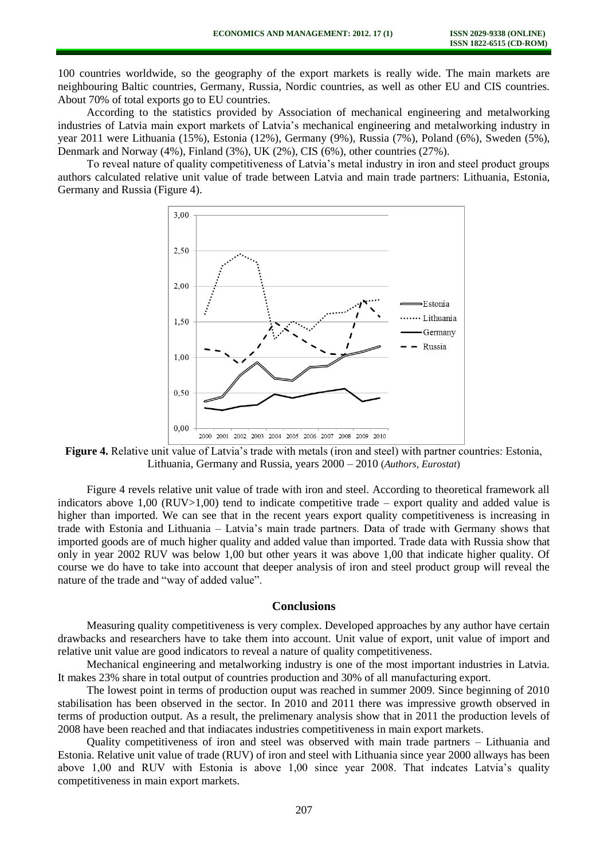100 countries worldwide, so the geography of the export markets is really wide. The main markets are neighbouring Baltic countries, Germany, Russia, Nordic countries, as well as other EU and CIS countries. About 70% of total exports go to EU countries.

According to the statistics provided by Association of mechanical engineering and metalworking industries of Latvia main export markets of Latvia's mechanical engineering and metalworking industry in year 2011 were Lithuania (15%), Estonia (12%), Germany (9%), Russia (7%), Poland (6%), Sweden (5%), Denmark and Norway (4%), Finland (3%), UK (2%), CIS (6%), other countries (27%).

To reveal nature of quality competitiveness of Latvia's metal industry in iron and steel product groups authors calculated relative unit value of trade between Latvia and main trade partners: Lithuania, Estonia, Germany and Russia (Figure 4).



**Figure 4.** Relative unit value of Latvia's trade with metals (iron and steel) with partner countries: Estonia, Lithuania, Germany and Russia, years 2000 – 2010 (*Authors, Eurostat*)

Figure 4 revels relative unit value of trade with iron and steel. According to theoretical framework all indicators above 1,00 (RUV $>1,00$ ) tend to indicate competitive trade – export quality and added value is higher than imported. We can see that in the recent years export quality competitiveness is increasing in trade with Estonia and Lithuania – Latvia's main trade partners. Data of trade with Germany shows that imported goods are of much higher quality and added value than imported. Trade data with Russia show that only in year 2002 RUV was below 1,00 but other years it was above 1,00 that indicate higher quality. Of course we do have to take into account that deeper analysis of iron and steel product group will reveal the nature of the trade and "way of added value".

#### **Conclusions**

Measuring quality competitiveness is very complex. Developed approaches by any author have certain drawbacks and researchers have to take them into account. Unit value of export, unit value of import and relative unit value are good indicators to reveal a nature of quality competitiveness.

Mechanical engineering and metalworking industry is one of the most important industries in Latvia. It makes 23% share in total output of countries production and 30% of all manufacturing export.

The lowest point in terms of production ouput was reached in summer 2009. Since beginning of 2010 stabilisation has been observed in the sector. In 2010 and 2011 there was impressive growth observed in terms of production output. As a result, the prelimenary analysis show that in 2011 the production levels of 2008 have been reached and that indiacates industries competitiveness in main export markets.

Quality competitiveness of iron and steel was observed with main trade partners – Lithuania and Estonia. Relative unit value of trade (RUV) of iron and steel with Lithuania since year 2000 allways has been above 1,00 and RUV with Estonia is above 1,00 since year 2008. That indcates Latvia's quality competitiveness in main export markets.